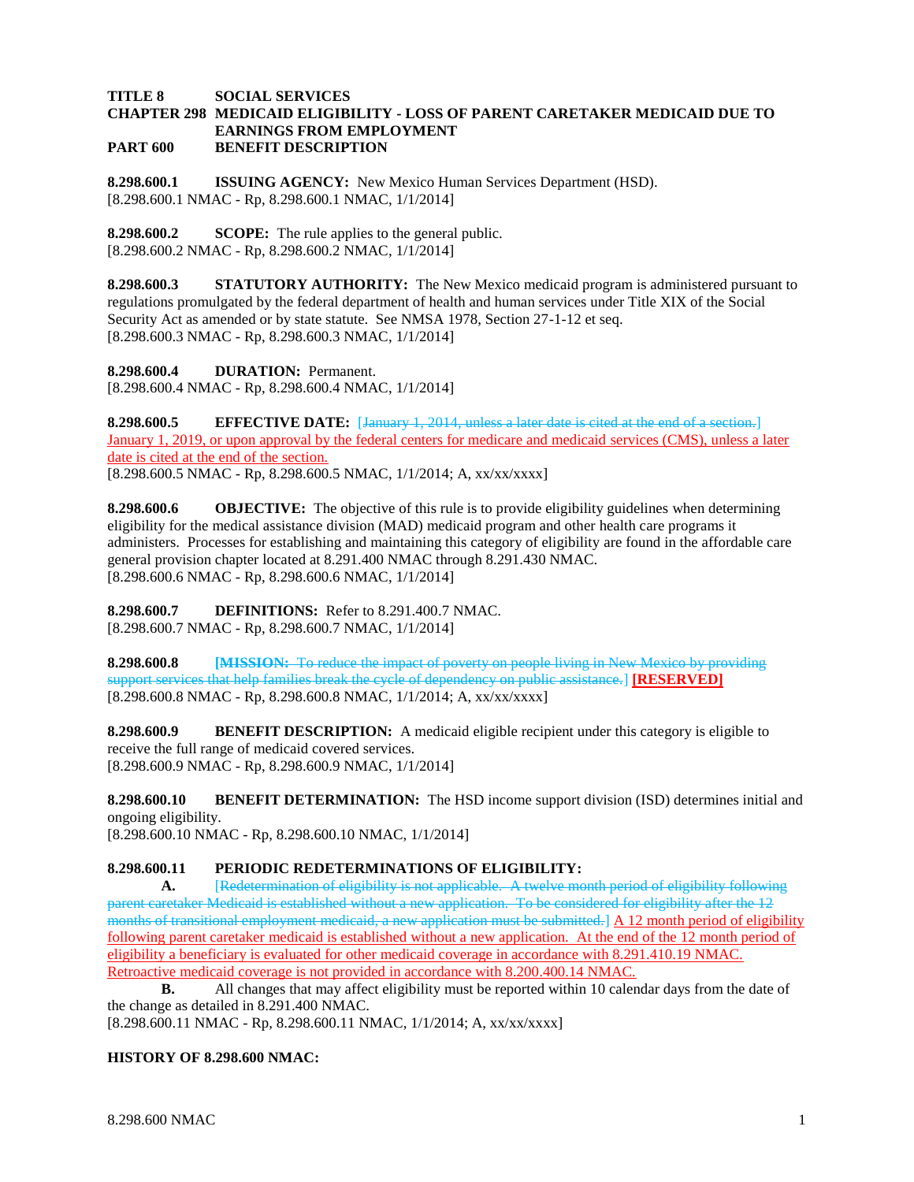## **TITLE 8 SOCIAL SERVICES CHAPTER 298 MEDICAID ELIGIBILITY - LOSS OF PARENT CARETAKER MEDICAID DUE TO EARNINGS FROM EMPLOYMENT PART 600 BENEFIT DESCRIPTION**

**8.298.600.1 ISSUING AGENCY:** New Mexico Human Services Department (HSD). [8.298.600.1 NMAC - Rp, 8.298.600.1 NMAC, 1/1/2014]

**8.298.600.2 SCOPE:** The rule applies to the general public. [8.298.600.2 NMAC - Rp, 8.298.600.2 NMAC, 1/1/2014]

**8.298.600.3 STATUTORY AUTHORITY:** The New Mexico medicaid program is administered pursuant to regulations promulgated by the federal department of health and human services under Title XIX of the Social Security Act as amended or by state statute. See NMSA 1978, Section 27-1-12 et seq. [8.298.600.3 NMAC - Rp, 8.298.600.3 NMAC, 1/1/2014]

**8.298.600.4 DURATION:** Permanent. [8.298.600.4 NMAC - Rp, 8.298.600.4 NMAC, 1/1/2014]

**8.298.600.5 EFFECTIVE DATE:** [January 1, 2014, unless a later date is cited at the end of a section.] January 1, 2019, or upon approval by the federal centers for medicare and medicaid services (CMS), unless a later date is cited at the end of the section. [8.298.600.5 NMAC - Rp, 8.298.600.5 NMAC, 1/1/2014; A, xx/xx/xxxx]

**8.298.600.6 OBJECTIVE:** The objective of this rule is to provide eligibility guidelines when determining eligibility for the medical assistance division (MAD) medicaid program and other health care programs it administers. Processes for establishing and maintaining this category of eligibility are found in the affordable care general provision chapter located at 8.291.400 NMAC through 8.291.430 NMAC. [8.298.600.6 NMAC - Rp, 8.298.600.6 NMAC, 1/1/2014]

**8.298.600.7 DEFINITIONS:** Refer to 8.291.400.7 NMAC. [8.298.600.7 NMAC - Rp, 8.298.600.7 NMAC, 1/1/2014]

**8.298.600.8 [MISSION:** To reduce the impact of poverty on people living in New Mexico by providing support services that help families break the cycle of dependency on public assistance.] **[RESERVED]** [8.298.600.8 NMAC - Rp, 8.298.600.8 NMAC, 1/1/2014; A, xx/xx/xxxx]

**8.298.600.9 BENEFIT DESCRIPTION:** A medicaid eligible recipient under this category is eligible to receive the full range of medicaid covered services. [8.298.600.9 NMAC - Rp, 8.298.600.9 NMAC, 1/1/2014]

**8.298.600.10 BENEFIT DETERMINATION:** The HSD income support division (ISD) determines initial and ongoing eligibility.

[8.298.600.10 NMAC - Rp, 8.298.600.10 NMAC, 1/1/2014]

## **8.298.600.11 PERIODIC REDETERMINATIONS OF ELIGIBILITY:**

**A.** [Redetermination of eligibility is not applicable. A twelve month period of eligibility following parent caretaker Medicaid is established without a new application. To be considered for eligibility after the 12 months of transitional employment medicaid, a new application must be submitted.] A 12 month period of eligibility following parent caretaker medicaid is established without a new application. At the end of the 12 month period of eligibility a beneficiary is evaluated for other medicaid coverage in accordance with 8.291.410.19 NMAC. Retroactive medicaid coverage is not provided in accordance with 8.200.400.14 NMAC.

**B.** All changes that may affect eligibility must be reported within 10 calendar days from the date of the change as detailed in 8.291.400 NMAC.

[8.298.600.11 NMAC - Rp, 8.298.600.11 NMAC, 1/1/2014; A, xx/xx/xxxx]

## **HISTORY OF 8.298.600 NMAC:**